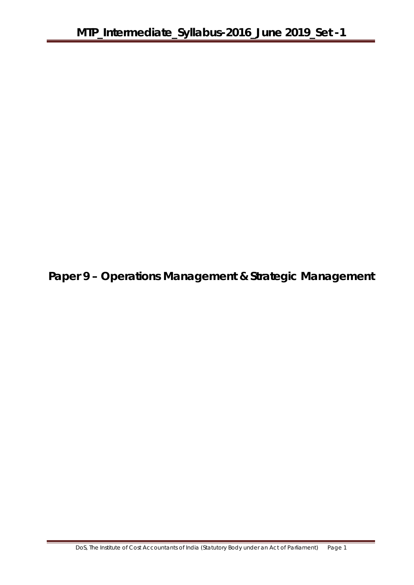**Paper 9 – Operations Management & Strategic Management**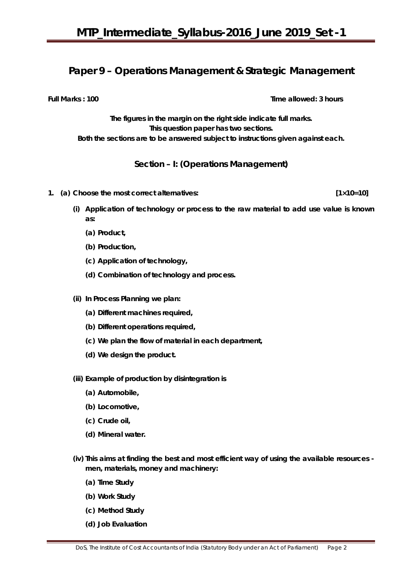## **Paper 9 – Operations Management & Strategic Management**

**Full Marks : 100** Time allowed: 3 hours

**The figures in the margin on the right side indicate full marks. This question paper has two sections. Both the sections are to be answered subject to instructions given against each.**

## **Section – I: (Operations Management)**

- **1. (a) Choose the most correct alternatives: [1×10=10]** 
	- **(i) Application of technology or process to the raw material to add use value is known as:**
		- **(a) Product,**
		- **(b) Production,**
		- **(c) Application of technology,**
		- **(d) Combination of technology and process.**
	- **(ii) In Process Planning we plan:**
		- **(a) Different machines required,**
		- **(b) Different operations required,**
		- **(c) We plan the flow of material in each department,**
		- **(d) We design the product.**
	- **(iii) Example of production by disintegration is**
		- **(a) Automobile,**
		- **(b) Locomotive,**
		- **(c) Crude oil,**
		- **(d) Mineral water.**
	- **(iv) This aims at finding the best and most efficient way of using the available resources men, materials, money and machinery:** 
		- **(a) Time Study**
		- **(b) Work Study**
		- **(c) Method Study**
		- **(d) Job Evaluation**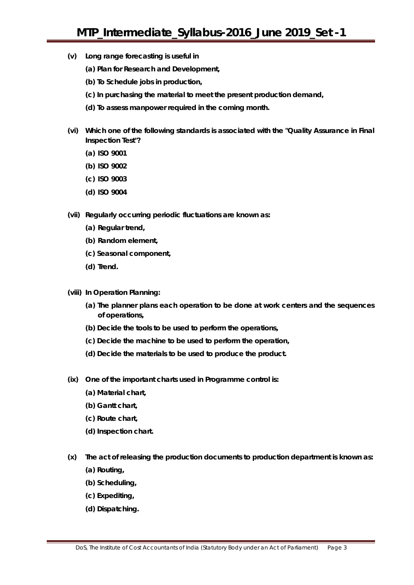- **(v) Long range forecasting is useful in**
	- **(a) Plan for Research and Development,**
	- **(b) To Schedule jobs in production,**
	- **(c) In purchasing the material to meet the present production demand,**
	- **(d) To assess manpower required in the coming month.**
- **(vi) Which one of the following standards is associated with the "Quality Assurance in Final Inspection Test"?**
	- **(a) ISO 9001**
	- **(b) ISO 9002**
	- **(c) ISO 9003**
	- **(d) ISO 9004**
- **(vii) Regularly occurring periodic fluctuations are known as:**
	- **(a) Regular trend,**
	- **(b) Random element,**
	- **(c) Seasonal component,**
	- **(d) Trend.**
- **(viii) In Operation Planning:**
	- **(a) The planner plans each operation to be done at work centers and the sequences of operations,**
	- **(b) Decide the tools to be used to perform the operations,**
	- **(c) Decide the machine to be used to perform the operation,**
	- **(d) Decide the materials to be used to produce the product.**
- **(ix) One of the important charts used in Programme control is:** 
	- **(a) Material chart,**
	- **(b) Gantt chart,**
	- **(c) Route chart,**
	- **(d) Inspection chart.**
- **(x) The act of releasing the production documents to production department is known as:**
	- **(a) Routing,**
	- **(b) Scheduling,**
	- **(c) Expediting,**
	- **(d) Dispatching.**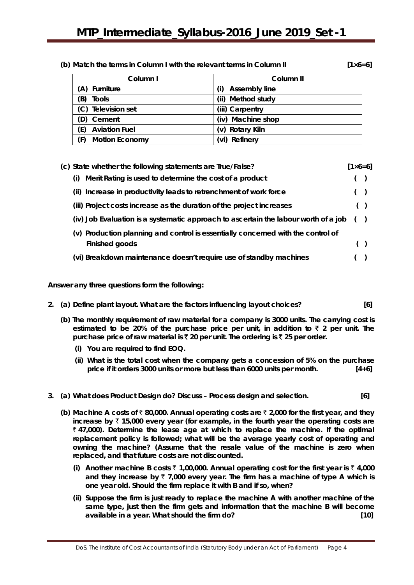| (b) Match the terms in Column I with the relevant terms in Column II |                    |
|----------------------------------------------------------------------|--------------------|
|                                                                      | $[1 \times 6 = 6]$ |

| Column I                     | Column II                  |
|------------------------------|----------------------------|
| (A) Furniture                | <b>Assembly line</b><br>D) |
| (B)<br><b>Tools</b>          | Method study<br>(ii)       |
| (C) Television set           | (iii) Carpentry            |
| (D) Cement                   | (iv) Machine shop          |
| <b>Aviation Fuel</b><br>(E)  | (v) Rotary Kiln            |
| (F)<br><b>Motion Economy</b> | Refinery<br>WD.            |

| (c) State whether the following statements are True/False?                          | $[1 \times 6 = 6]$ |       |
|-------------------------------------------------------------------------------------|--------------------|-------|
| Merit Rating is used to determine the cost of a product<br>(i)                      |                    | $($ ) |
| (ii) Increase in productivity leads to retrenchment of work force                   |                    | $($ ) |
| (iii) Project costs increase as the duration of the project increases               |                    | $($ ) |
| (iv) Job Evaluation is a systematic approach to ascertain the labour worth of a job |                    | (     |
| (v) Production planning and control is essentially concerned with the control of    |                    |       |
| Finished goods                                                                      |                    |       |
| (vi) Breakdown maintenance doesn't require use of standby machines                  |                    |       |

**Answer any** *three* **questions form the following:**

- **2. (a) Define plant layout. What are the factors influencing layout choices? [6]**
	- **(b) The monthly requirement of raw material for a company is 3000 units. The carrying cost is estimated to be 20% of the purchase price per unit, in addition to** ` **2 per unit. The purchase price of raw material is** ` **20 per unit. The ordering is** ` **25 per order.**
		- **(i) You are required to find EOQ.**
		- **(ii) What is the total cost when the company gets a concession of 5% on the purchase price if it orders 3000 units or more but less than 6000 units per month. [4+6]**
- **3. (a) What does Product Design do? Discuss – Process design and selection. [6]**
	- **(b) Machine A costs of** ` **80,000. Annual operating costs are** ` **2,000 for the first year, and they increase by** ` **15,000 every year (for example, in the fourth year the operating costs are**  ` **47,000). Determine the lease age at which to replace the machine. If the optimal replacement policy is followed; what will be the average yearly cost of operating and owning the machine? (Assume that the resale value of the machine is zero when replaced, and that future costs are not discounted.** 
		- **(i)** Another machine B costs  $\bar{\tau}$  1,00,000. Annual operating cost for the first year is  $\bar{\tau}$  4,000 and they increase by  $\bar{x}$  7,000 every year. The firm has a machine of type A which is **one year old. Should the firm replace it with B and if so, when?**
		- **(ii) Suppose the firm is just ready to replace the machine A with another machine of the same type, just then the firm gets and information that the machine B will become available in a year. What should the firm do? [10]**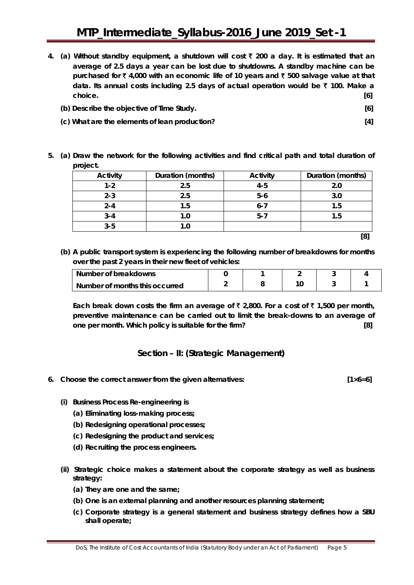- **4. (a) Without standby equipment, a shutdown will cost** ` **200 a day. It is estimated that an average of 2.5 days a year can be lost due to shutdowns. A standby machine can be purchased for** ` **4,000 with an economic life of 10 years and** ` **500 salvage value at that data. Its annual costs including 2.5 days of actual operation would be** ` **100. Make a choice. [6]**
	- **(b) Describe the objective of Time Study. [6]**

**5. (a) Draw the network for the following activities and find critical path and total duration of** 

- **(c) What are the elements of lean production? [4]**
- - **project. Activity Duration (months) Activity Duration (months) 1-2 2.5 4-5 2.0 2-3 2.5 5-6 3.0 2-4 1.5 6-7 1.5 3-4 1.0 5-7 1.5 3-5 1.0 [8]**
- **(b) A public transport system is experiencing the following number of breakdowns for months over the past 2 years in their new fleet of vehicles:**

| Number of breakdowns           |  |  |  |
|--------------------------------|--|--|--|
| Number of months this occurred |  |  |  |

Each break down costs the firm an average of ₹ 2,800. For a cost of ₹ 1,500 per month, **preventive maintenance can be carried out to limit the break-downs to an average of one per month. Which policy is suitable for the firm? [8]**

## **Section – II: (Strategic Management)**

**6. Choose the correct answer from the given alternatives: [1×6=6]**

- **(i) Business Process Re-engineering is**
	- **(a) Eliminating loss-making process;**
	- **(b) Redesigning operational processes;**
	- **(c) Redesigning the product and services;**
	- **(d) Recruiting the process engineers.**
- **(ii) Strategic choice makes a statement about the corporate strategy as well as business strategy:**
	- **(a) They are one and the same;**
	- **(b) One is an external planning and another resources planning statement;**
	- **(c) Corporate strategy is a general statement and business strategy defines how a SBU shall operate;**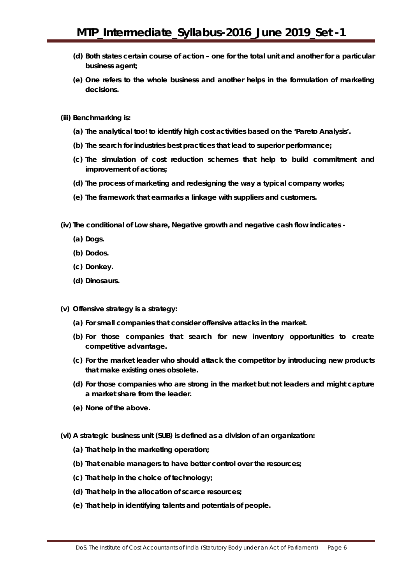- **(d) Both states certain course of action – one for the total unit and another for a particular business agent;**
- **(e) One refers to the whole business and another helps in the formulation of marketing decisions.**
- **(iii) Benchmarking is:**
	- **(a) The analytical too! to identify high cost activities based on the 'Pareto Analysis'.**
	- **(b) The search for industries best practices that lead to superior performance;**
	- **(c) The simulation of cost reduction schemes that help to build commitment and improvement of actions;**
	- **(d) The process of marketing and redesigning the way a typical company works;**
	- **(e) The framework that earmarks a linkage with suppliers and customers.**

**(iv) The conditional of Low share, Negative growth and negative cash flow indicates -**

- **(a) Dogs.**
- **(b) Dodos.**
- **(c) Donkey.**
- **(d) Dinosaurs.**
- **(v) Offensive strategy is a strategy:**
	- **(a) For small companies that consider offensive attacks in the market.**
	- **(b) For those companies that search for new inventory opportunities to create competitive advantage.**
	- **(c) For the market leader who should attack the competitor by introducing new products that make existing ones obsolete.**
	- **(d) For those companies who are strong in the market but not leaders and might capture a market share from the leader.**
	- **(e) None of the above.**
- **(vi) A strategic business unit (SUB) is defined as a division of an organization:**
	- **(a) That help in the marketing operation;**
	- **(b) That enable managers to have better control over the resources;**
	- **(c) That help in the choice of technology;**
	- **(d) That help in the allocation of scarce resources;**
	- **(e) That help in identifying talents and potentials of people.**